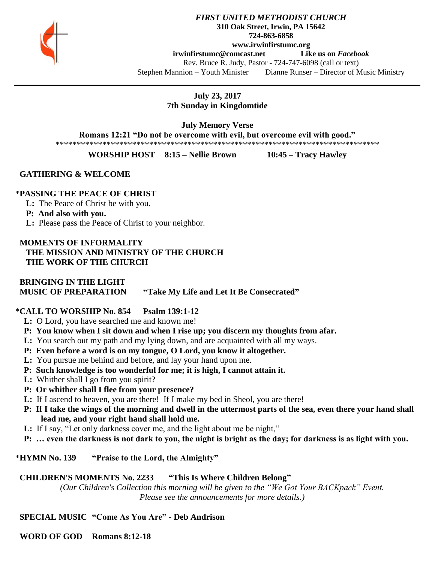

#### *FIRST UNITED METHODIST CHURCH* **310 Oak Street, Irwin, PA 15642 724-863-6858 www.irwinfirstumc.org**

**[irwinfirstumc@comcast.net](mailto:irwinfirstumc@comcast.net) Like us on** *Facebook*

Rev. Bruce R. Judy, Pastor - 724-747-6098 (call or text) Stephen Mannion – Youth Minister Dianne Runser – Director of Music Ministry

> **July 23, 2017 7th Sunday in Kingdomtide**

> > **July Memory Verse**

**Romans 12:21 "Do not be overcome with evil, but overcome evil with good."**

\*\*\*\*\*\*\*\*\*\*\*\*\*\*\*\*\*\*\*\*\*\*\*\*\*\*\*\*\*\*\*\*\*\*\*\*\*\*\*\*\*\*\*\*\*\*\*\*\*\*\*\*\*\*\*\*\*\*\*\*\*\*\*\*\*\*\*\*\*\*\*\*\*\*\*\*

**WORSHIP HOST 8:15 – Nellie Brown 10:45 – Tracy Hawley**

 **GATHERING & WELCOME**

## \***PASSING THE PEACE OF CHRIST**

**L:** The Peace of Christ be with you.

### **P: And also with you.**

**L:** Please pass the Peace of Christ to your neighbor.

 **MOMENTS OF INFORMALITY THE MISSION AND MINISTRY OF THE CHURCH THE WORK OF THE CHURCH**

# **BRINGING IN THE LIGHT MUSIC OF PREPARATION "Take My Life and Let It Be Consecrated"**

# \***CALL TO WORSHIP No. 854 Psalm 139:1-12**

- **L:** O Lord, you have searched me and known me!
- **P: You know when I sit down and when I rise up; you discern my thoughts from afar.**
- **L:** You search out my path and my lying down, and are acquainted with all my ways.
- **P: Even before a word is on my tongue, O Lord, you know it altogether.**
- **L:** You pursue me behind and before, and lay your hand upon me.
- **P: Such knowledge is too wonderful for me; it is high, I cannot attain it.**
- **L:** Whither shall I go from you spirit?
- **P: Or whither shall I flee from your presence?**
- **L:** If I ascend to heaven, you are there! If I make my bed in Sheol, you are there!
- **P: If I take the wings of the morning and dwell in the uttermost parts of the sea, even there your hand shall lead me, and your right hand shall hold me.**
- **L:** If I say, "Let only darkness cover me, and the light about me be night,"
- **P: … even the darkness is not dark to you, the night is bright as the day; for darkness is as light with you.**

\***HYMN No. 139 "Praise to the Lord, the Almighty"**

# **CHILDREN'S MOMENTS No. 2233 "This Is Where Children Belong"**

*(Our Children's Collection this morning will be given to the "We Got Your BACKpack" Event. Please see the announcements for more details.)*

# **SPECIAL MUSIC "Come As You Are" - Deb Andrison**

 **WORD OF GOD Romans 8:12-18**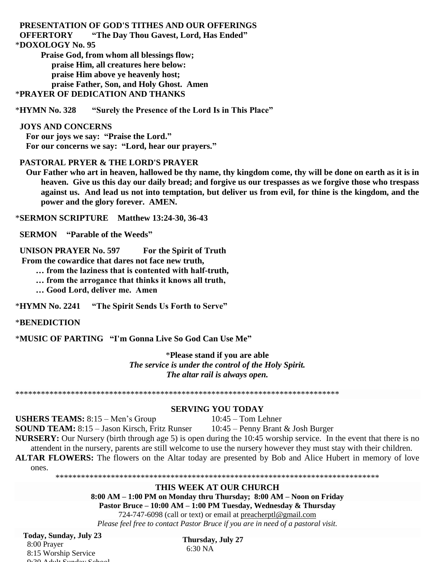**PRESENTATION OF GOD'S TITHES AND OUR OFFERINGS OFFERTORY "The Day Thou Gavest, Lord, Has Ended"** \***DOXOLOGY No. 95 Praise God, from whom all blessings flow; praise Him, all creatures here below: praise Him above ye heavenly host; praise Father, Son, and Holy Ghost. Amen**

\***PRAYER OF DEDICATION AND THANKS**

\***HYMN No. 328 "Surely the Presence of the Lord Is in This Place"**

### **JOYS AND CONCERNS**

 **For our joys we say: "Praise the Lord." For our concerns we say: "Lord, hear our prayers."**

### **PASTORAL PRYER & THE LORD'S PRAYER**

 **Our Father who art in heaven, hallowed be thy name, thy kingdom come, thy will be done on earth as it is in heaven. Give us this day our daily bread; and forgive us our trespasses as we forgive those who trespass against us. And lead us not into temptation, but deliver us from evil, for thine is the kingdom, and the power and the glory forever. AMEN.**

\***SERMON SCRIPTURE Matthew 13:24-30, 36-43**

 **SERMON "Parable of the Weeds"**

 **UNISON PRAYER No. 597 For the Spirit of Truth**

 **From the cowardice that dares not face new truth,**

**… from the laziness that is contented with half-truth,**

**… from the arrogance that thinks it knows all truth,**

**… Good Lord, deliver me. Amen**

\***HYMN No. 2241 "The Spirit Sends Us Forth to Serve"**

### \***BENEDICTION**

\***MUSIC OF PARTING "I'm Gonna Live So God Can Use Me"**

\***Please stand if you are able** *The service is under the control of the Holy Spirit. The altar rail is always open.*

\*\*\*\*\*\*\*\*\*\*\*\*\*\*\*\*\*\*\*\*\*\*\*\*\*\*\*\*\*\*\*\*\*\*\*\*\*\*\*\*\*\*\*\*\*\*\*\*\*\*\*\*\*\*\*\*\*\*\*\*\*\*\*\*\*\*\*\*\*\*\*\*\*\*\*\*

### **SERVING YOU TODAY**

**USHERS TEAMS:**  $8:15 - Men's Group$   $10:45 - Tom Lehner$ 

**SOUND TEAM:** 8:15 – Jason Kirsch, Fritz Runser 10:45 – Penny Brant & Josh Burger **NURSERY:** Our Nursery (birth through age 5) is open during the 10:45 worship service. In the event that there is no

attendent in the nursery, parents are still welcome to use the nursery however they must stay with their children.

**ALTAR FLOWERS:** The flowers on the Altar today are presented by Bob and Alice Hubert in memory of love ones.

#### \*\*\*\*\*\*\*\*\*\*\*\*\*\*\*\*\*\*\*\*\*\*\*\*\*\*\*\*\*\*\*\*\*\*\*\*\*\*\*\*\*\*\*\*\*\*\*\*\*\*\*\*\*\*\*\*\*\*\*\*\*\*\*\*\*\*\*\*\*\*\*\*\*\*\*\* **THIS WEEK AT OUR CHURCH**

**8:00 AM – 1:00 PM on Monday thru Thursday; 8:00 AM – Noon on Friday Pastor Bruce – 10:00 AM – 1:00 PM Tuesday, Wednesday & Thursday**

724-747-6098 (call or text) or email at [preacherptl@gmail.com](mailto:preacherptl@gmail.com)

*Please feel free to contact Pastor Bruce if you are in need of a pastoral visit.*

**Today, Sunday, July 23**

 8:00 Prayer 8:15 Worship Service  $0.20 \pm 1.1$   $0.20 \pm 1.5$ 

**Thursday, July 27** 6:30 NA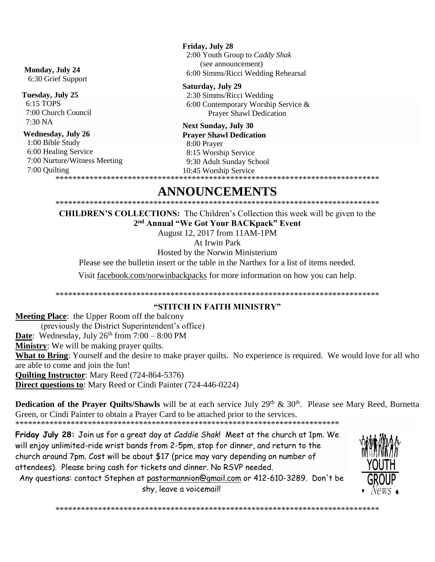#### Monday, July 24

6:30 Grief Support

#### Tuesday, July 25

6:15 TOPS 7:00 Church Council 7:30 NA

#### **Wednesday, July 26**

1:00 Bible Study 6:00 Healing Service 7:00 Nurture/Witness Meeting 7:00 Quilting 

Friday, July 28 2:00 Youth Group to Caddy Shak (see announcement) 6:00 Simms/Ricci Wedding Rehearsal

Saturday, July 29 2:30 Simms/Ricci Wedding 6:00 Contemporary Worship Service & **Prayer Shawl Dedication** 

#### **Next Sunday, July 30 Praver Shawl Dedication**

8:00 Prayer 8:15 Worship Service 9:30 Adult Sunday School 10:45 Worship Service

# ANNOUNCEMENTS

**CHILDREN'S COLLECTIONS:** The Children's Collection this week will be given to the 2<sup>nd</sup> Annual "We Got Your BACKpack" Event

August 12, 2017 from 11AM-1PM

At Irwin Park

Hosted by the Norwin Ministerium

Please see the bulletin insert or the table in the Narthex for a list of items needed.

Visit facebook.com/norwinbackpacks for more information on how you can help.

# "STITCH IN FAITH MINISTRY"

**Meeting Place:** the Upper Room off the balcony (previously the District Superintendent's office) **Date:** Wednesday, July  $26^{th}$  from  $7:00 - 8:00$  PM **Ministry**: We will be making prayer quilts. What to Bring: Yourself and the desire to make prayer quilts. No experience is required. We would love for all who are able to come and join the fun! **Quilting Instructor:** Mary Reed (724-864-5376) **Direct questions to:** Mary Reed or Cindi Painter (724-446-0224)

**Dedication of the Prayer Quilts/Shawls** will be at each service July  $29<sup>th</sup>$  &  $30<sup>th</sup>$ . Please see Mary Reed, Burnetta Green, or Cindi Painter to obtain a Prayer Card to be attached prior to the services.

Friday July 28: Join us for a great day at Caddie Shak! Meet at the church at 1pm. We will enjoy unlimited-ride wrist bands from 2-5pm, stop for dinner, and return to the church around 7pm. Cost will be about \$17 (price may vary depending on number of attendees). Please bring cash for tickets and dinner. No RSVP needed.

Any questions: contact Stephen at pastormannion@gmail.com or 412-610-3289. Don't be shy, leave a voicemail!